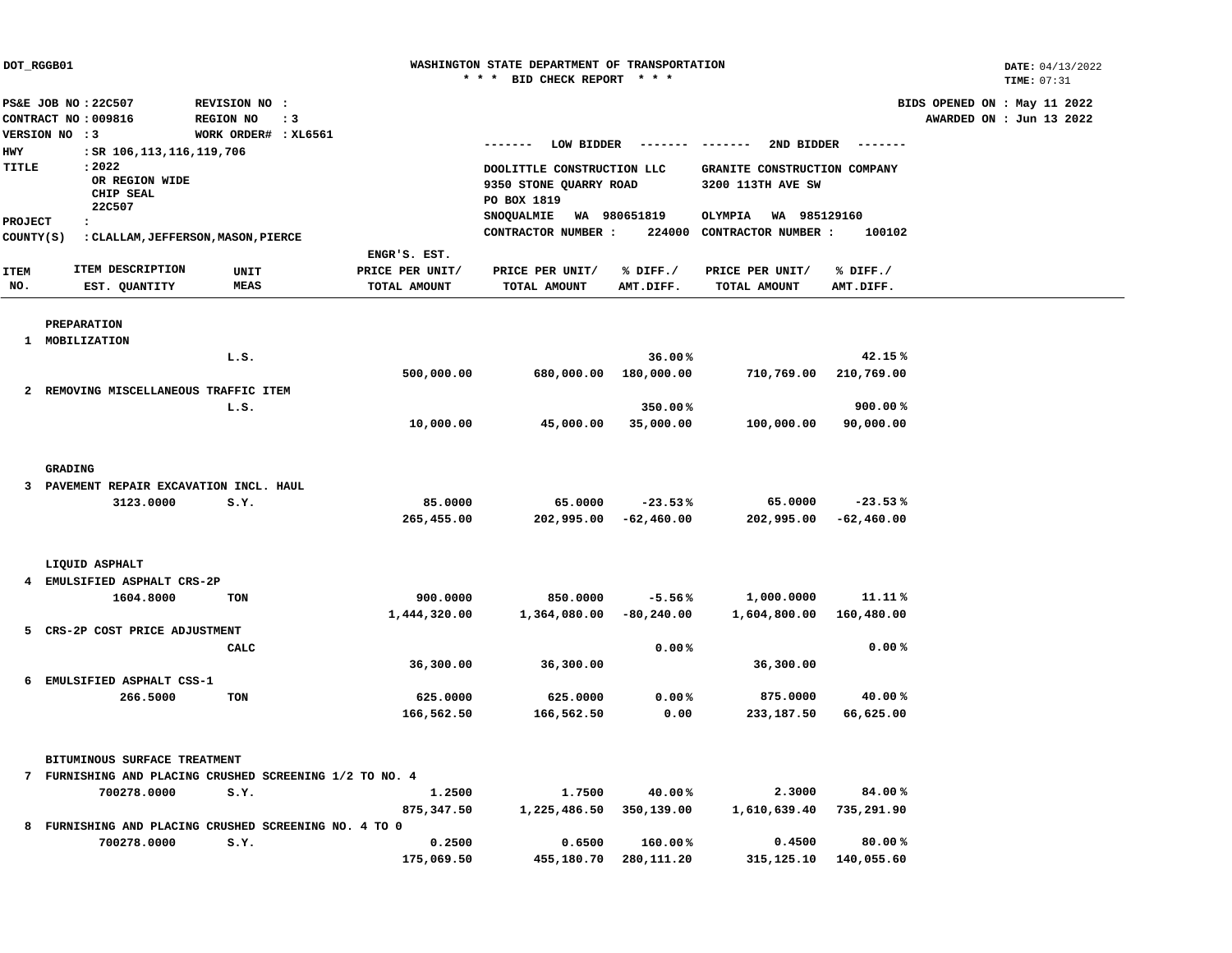| DOT_RGGB01          |                                                                             |                                                             |                                 | WASHINGTON STATE DEPARTMENT OF TRANSPORTATION<br>* * * BID CHECK REPORT * * * |                           |                                                       |                           |                                                          |  |  |
|---------------------|-----------------------------------------------------------------------------|-------------------------------------------------------------|---------------------------------|-------------------------------------------------------------------------------|---------------------------|-------------------------------------------------------|---------------------------|----------------------------------------------------------|--|--|
|                     | PS&E JOB NO: 22C507<br>CONTRACT NO: 009816                                  | REVISION NO :<br>REGION NO<br>$\cdot$ 3                     |                                 |                                                                               |                           |                                                       |                           | BIDS OPENED ON : May 11 2022<br>AWARDED ON : Jun 13 2022 |  |  |
|                     | VERSION NO : 3                                                              | WORK ORDER# : XL6561                                        |                                 | LOW BIDDER                                                                    | ------- -------           | 2ND BIDDER                                            | --------                  |                                                          |  |  |
| <b>HWY</b><br>TITLE | : SR 106,113,116,119,706<br>: 2022<br>OR REGION WIDE<br>CHIP SEAL<br>22C507 |                                                             |                                 | DOOLITTLE CONSTRUCTION LLC<br>9350 STONE QUARRY ROAD<br>PO BOX 1819           |                           | GRANITE CONSTRUCTION COMPANY<br>3200 113TH AVE SW     |                           |                                                          |  |  |
| <b>PROJECT</b>      | $\cdot$                                                                     |                                                             |                                 | SNOQUALMIE<br>CONTRACTOR NUMBER :                                             | WA 980651819              | WA 985129160<br>OLYMPIA<br>224000 CONTRACTOR NUMBER : | 100102                    |                                                          |  |  |
| COUNTY (S)          |                                                                             | : CLALLAM, JEFFERSON, MASON, PIERCE                         | ENGR'S. EST.                    |                                                                               |                           |                                                       |                           |                                                          |  |  |
| <b>ITEM</b><br>NO.  | ITEM DESCRIPTION<br>EST. QUANTITY                                           | UNIT<br><b>MEAS</b>                                         | PRICE PER UNIT/<br>TOTAL AMOUNT | PRICE PER UNIT/<br>TOTAL AMOUNT                                               | % DIFF./<br>AMT.DIFF.     | PRICE PER UNIT/<br>TOTAL AMOUNT                       | % DIFF./<br>AMT.DIFF.     |                                                          |  |  |
|                     | PREPARATION                                                                 |                                                             |                                 |                                                                               |                           |                                                       |                           |                                                          |  |  |
|                     | 1 MOBILIZATION                                                              |                                                             |                                 |                                                                               |                           |                                                       |                           |                                                          |  |  |
|                     |                                                                             | L.S.                                                        | 500,000.00                      | 680,000.00                                                                    | 36.00%<br>180,000.00      | 710,769.00                                            | 42.15%<br>210,769.00      |                                                          |  |  |
|                     | 2 REMOVING MISCELLANEOUS TRAFFIC ITEM                                       |                                                             |                                 |                                                                               |                           |                                                       |                           |                                                          |  |  |
|                     |                                                                             | L.S.                                                        |                                 |                                                                               | 350.00%                   |                                                       | 900.00%                   |                                                          |  |  |
|                     |                                                                             |                                                             | 10,000.00                       | 45,000.00                                                                     | 35,000.00                 | 100,000.00                                            | 90,000.00                 |                                                          |  |  |
|                     | GRADING                                                                     |                                                             |                                 |                                                                               |                           |                                                       |                           |                                                          |  |  |
| 3                   | PAVEMENT REPAIR EXCAVATION INCL. HAUL                                       |                                                             |                                 |                                                                               |                           |                                                       |                           |                                                          |  |  |
|                     | 3123.0000                                                                   | S.Y.                                                        | 85.0000<br>265,455.00           | 65.0000<br>202,995.00                                                         | $-23.53%$<br>$-62,460.00$ | 65.0000<br>202,995.00                                 | $-23.53%$<br>$-62,460.00$ |                                                          |  |  |
|                     | LIQUID ASPHALT                                                              |                                                             |                                 |                                                                               |                           |                                                       |                           |                                                          |  |  |
| 4                   | EMULSIFIED ASPHALT CRS-2P                                                   |                                                             |                                 |                                                                               |                           |                                                       |                           |                                                          |  |  |
|                     | 1604.8000                                                                   | TON                                                         | 900.0000                        | 850.0000                                                                      | $-5.56%$                  | 1,000.0000                                            | 11.11%                    |                                                          |  |  |
| 5                   | CRS-2P COST PRICE ADJUSTMENT                                                |                                                             | 1,444,320.00                    | 1,364,080.00                                                                  | $-80,240.00$              | 1,604,800.00                                          | 160,480.00                |                                                          |  |  |
|                     |                                                                             | CALC                                                        |                                 |                                                                               | 0.00%                     |                                                       | 0.00%                     |                                                          |  |  |
|                     |                                                                             |                                                             | 36,300.00                       | 36,300.00                                                                     |                           | 36,300.00                                             |                           |                                                          |  |  |
| 6                   | EMULSIFIED ASPHALT CSS-1                                                    |                                                             |                                 |                                                                               |                           |                                                       |                           |                                                          |  |  |
|                     | 266.5000                                                                    | TON                                                         | 625.0000<br>166,562.50          | 625.0000<br>166,562.50                                                        | 0.00%<br>0.00             | 875.0000<br>233,187.50                                | 40.00%<br>66,625.00       |                                                          |  |  |
|                     | BITUMINOUS SURFACE TREATMENT                                                |                                                             |                                 |                                                                               |                           |                                                       |                           |                                                          |  |  |
|                     |                                                                             | 7 FURNISHING AND PLACING CRUSHED SCREENING 1/2 TO NO. 4     |                                 |                                                                               |                           |                                                       |                           |                                                          |  |  |
|                     | 700278.0000                                                                 | S.Y.                                                        | 1.2500                          | 1.7500                                                                        | 40.00%                    | 2.3000                                                | 84.00%                    |                                                          |  |  |
|                     |                                                                             |                                                             | 875,347.50                      | 1,225,486.50                                                                  | 350,139.00                | 1,610,639.40                                          | 735,291.90                |                                                          |  |  |
| 8                   | 700278.0000                                                                 | FURNISHING AND PLACING CRUSHED SCREENING NO. 4 TO 0<br>S.Y. |                                 |                                                                               | 160.00%                   | 0.4500                                                | 80.00%                    |                                                          |  |  |
|                     |                                                                             |                                                             | 0.2500<br>175,069.50            | 0.6500<br>455,180.70                                                          | 280,111.20                | 315,125.10                                            | 140,055.60                |                                                          |  |  |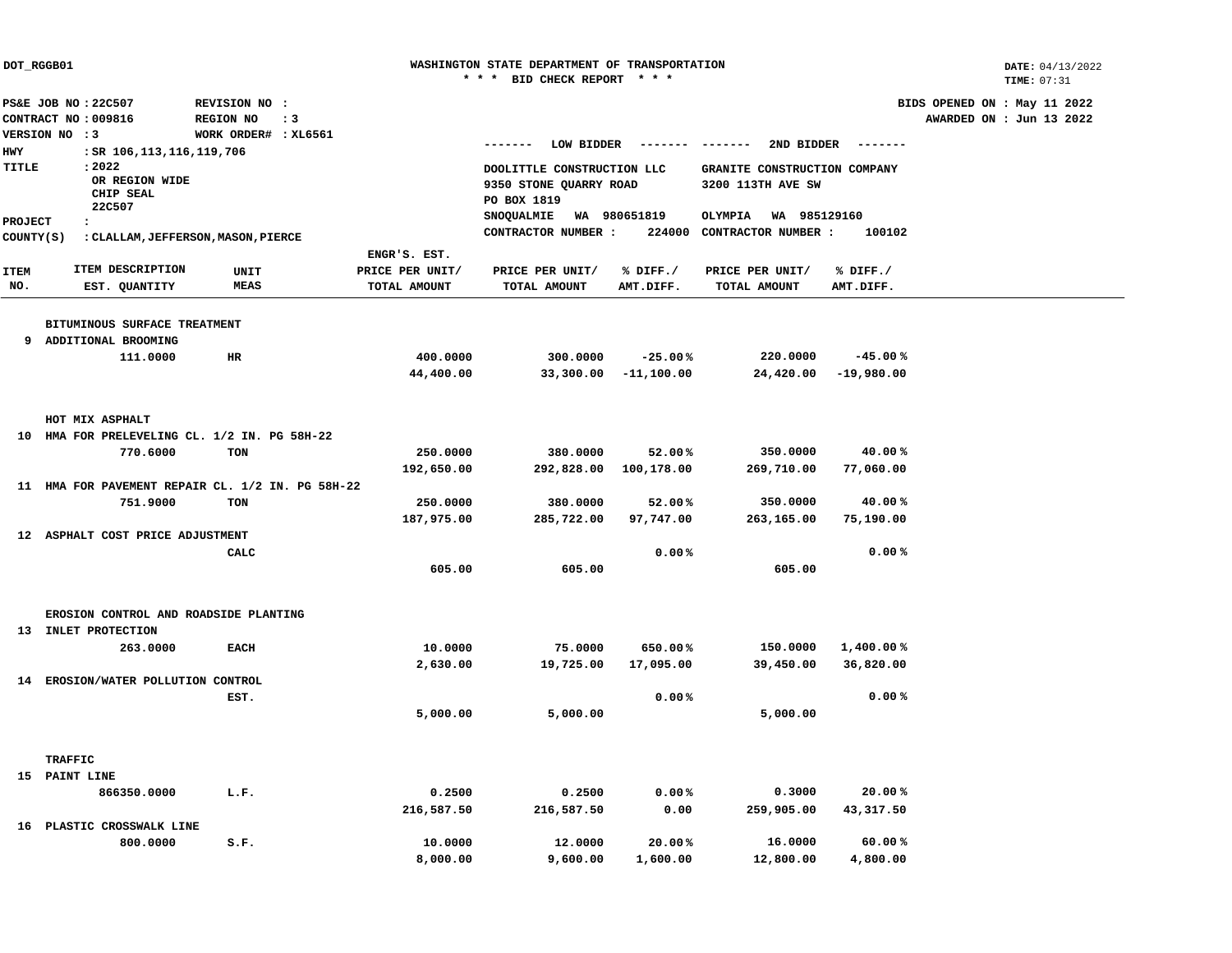|                | DOT_RGGB01                                       |                      |                 | WASHINGTON STATE DEPARTMENT OF TRANSPORTATION |              |                              |                 |                              |  |  |  |
|----------------|--------------------------------------------------|----------------------|-----------------|-----------------------------------------------|--------------|------------------------------|-----------------|------------------------------|--|--|--|
|                |                                                  |                      |                 | * * * BID CHECK REPORT * * *                  |              |                              |                 | TIME: 07:31                  |  |  |  |
|                | PS&E JOB NO: 22C507                              | REVISION NO :        |                 |                                               |              |                              |                 | BIDS OPENED ON : May 11 2022 |  |  |  |
|                | CONTRACT NO: 009816                              | REGION NO            | $\cdot$ 3       |                                               |              |                              |                 | AWARDED ON : Jun 13 2022     |  |  |  |
|                | VERSION NO : 3                                   | WORK ORDER# : XL6561 |                 | LOW BIDDER<br>-------                         | --------     | 2ND BIDDER<br>--------       | $- - - - - - -$ |                              |  |  |  |
| <b>HWY</b>     | : SR 106,113,116,119,706                         |                      |                 |                                               |              |                              |                 |                              |  |  |  |
| TITLE          | : 2022                                           |                      |                 | DOOLITTLE CONSTRUCTION LLC                    |              | GRANITE CONSTRUCTION COMPANY |                 |                              |  |  |  |
|                | OR REGION WIDE                                   |                      |                 | 9350 STONE QUARRY ROAD                        |              | 3200 113TH AVE SW            |                 |                              |  |  |  |
|                | CHIP SEAL<br>22C507                              |                      |                 | PO BOX 1819                                   |              |                              |                 |                              |  |  |  |
| <b>PROJECT</b> | $\cdot$                                          |                      |                 | SNOQUALMIE                                    | WA 980651819 | OLYMPIA<br>WA 985129160      |                 |                              |  |  |  |
| COUNTY (S)     | : CLALLAM, JEFFERSON, MASON, PIERCE              |                      |                 | CONTRACTOR NUMBER :                           | 224000       | CONTRACTOR NUMBER :          | 100102          |                              |  |  |  |
|                |                                                  |                      | ENGR'S. EST.    |                                               |              |                              |                 |                              |  |  |  |
| <b>ITEM</b>    | ITEM DESCRIPTION                                 | UNIT                 | PRICE PER UNIT/ | PRICE PER UNIT/                               | % DIFF./     | PRICE PER UNIT/              | % DIFF./        |                              |  |  |  |
| NO.            | EST. QUANTITY                                    | <b>MEAS</b>          | TOTAL AMOUNT    | TOTAL AMOUNT                                  | AMT.DIFF.    | TOTAL AMOUNT                 | AMT.DIFF.       |                              |  |  |  |
|                |                                                  |                      |                 |                                               |              |                              |                 |                              |  |  |  |
|                | BITUMINOUS SURFACE TREATMENT                     |                      |                 |                                               |              |                              |                 |                              |  |  |  |
| 9              | ADDITIONAL BROOMING                              |                      |                 |                                               |              |                              |                 |                              |  |  |  |
|                | 111.0000                                         | HR                   | 400.0000        | 300.0000                                      | $-25.00%$    | 220.0000                     | $-45.00%$       |                              |  |  |  |
|                |                                                  |                      | 44,400.00       | 33,300.00                                     | $-11,100.00$ | 24,420.00                    | $-19,980.00$    |                              |  |  |  |
|                |                                                  |                      |                 |                                               |              |                              |                 |                              |  |  |  |
|                | HOT MIX ASPHALT                                  |                      |                 |                                               |              |                              |                 |                              |  |  |  |
|                | 10 HMA FOR PRELEVELING CL. 1/2 IN. PG 58H-22     |                      |                 |                                               |              |                              |                 |                              |  |  |  |
|                | 770.6000                                         | <b>TON</b>           | 250.0000        | 380.0000                                      | 52.00%       | 350.0000                     | 40.00%          |                              |  |  |  |
|                |                                                  |                      | 192,650.00      | 292,828.00                                    | 100,178.00   | 269,710.00                   | 77,060.00       |                              |  |  |  |
|                | 11 HMA FOR PAVEMENT REPAIR CL. 1/2 IN. PG 58H-22 |                      |                 |                                               |              |                              |                 |                              |  |  |  |
|                | 751.9000                                         | TON                  | 250.0000        | 380.0000                                      | 52.00%       | 350.0000                     | 40.00%          |                              |  |  |  |
|                |                                                  |                      | 187,975.00      | 285,722.00                                    | 97,747.00    | 263,165.00                   | 75,190.00       |                              |  |  |  |
|                | 12 ASPHALT COST PRICE ADJUSTMENT                 |                      |                 |                                               |              |                              |                 |                              |  |  |  |
|                |                                                  | CALC                 |                 |                                               | 0.00%        |                              | 0.00%           |                              |  |  |  |
|                |                                                  |                      | 605.00          | 605.00                                        |              | 605.00                       |                 |                              |  |  |  |
|                |                                                  |                      |                 |                                               |              |                              |                 |                              |  |  |  |
|                | EROSION CONTROL AND ROADSIDE PLANTING            |                      |                 |                                               |              |                              |                 |                              |  |  |  |
| 13             | INLET PROTECTION                                 |                      |                 |                                               |              |                              |                 |                              |  |  |  |
|                | 263.0000                                         | <b>EACH</b>          | 10.0000         | 75.0000                                       | 650.00%      | 150.0000                     | 1,400.00%       |                              |  |  |  |
|                |                                                  |                      | 2,630.00        | 19,725.00                                     | 17,095.00    | 39,450.00                    | 36,820.00       |                              |  |  |  |
|                | 14 EROSION/WATER POLLUTION CONTROL               |                      |                 |                                               |              |                              |                 |                              |  |  |  |
|                |                                                  | EST.                 |                 |                                               | 0.00%        |                              | 0.00%           |                              |  |  |  |
|                |                                                  |                      | 5,000.00        | 5,000.00                                      |              | 5,000.00                     |                 |                              |  |  |  |
|                |                                                  |                      |                 |                                               |              |                              |                 |                              |  |  |  |
|                | <b>TRAFFIC</b>                                   |                      |                 |                                               |              |                              |                 |                              |  |  |  |
|                | 15 PAINT LINE                                    |                      |                 |                                               |              |                              |                 |                              |  |  |  |
|                | 866350.0000                                      | L.F.                 | 0.2500          | 0.2500                                        | 0.00%        | 0.3000                       | 20.00%          |                              |  |  |  |
|                |                                                  |                      | 216,587.50      | 216,587.50                                    | 0.00         | 259,905.00                   | 43,317.50       |                              |  |  |  |
|                | 16 PLASTIC CROSSWALK LINE                        |                      |                 |                                               |              |                              |                 |                              |  |  |  |
|                | 800.0000                                         | S.F.                 | 10.0000         | 12.0000                                       | 20.00%       | 16.0000                      | 60.00%          |                              |  |  |  |
|                |                                                  |                      | 8,000.00        | 9,600.00                                      | 1,600.00     | 12,800.00                    | 4,800.00        |                              |  |  |  |
|                |                                                  |                      |                 |                                               |              |                              |                 |                              |  |  |  |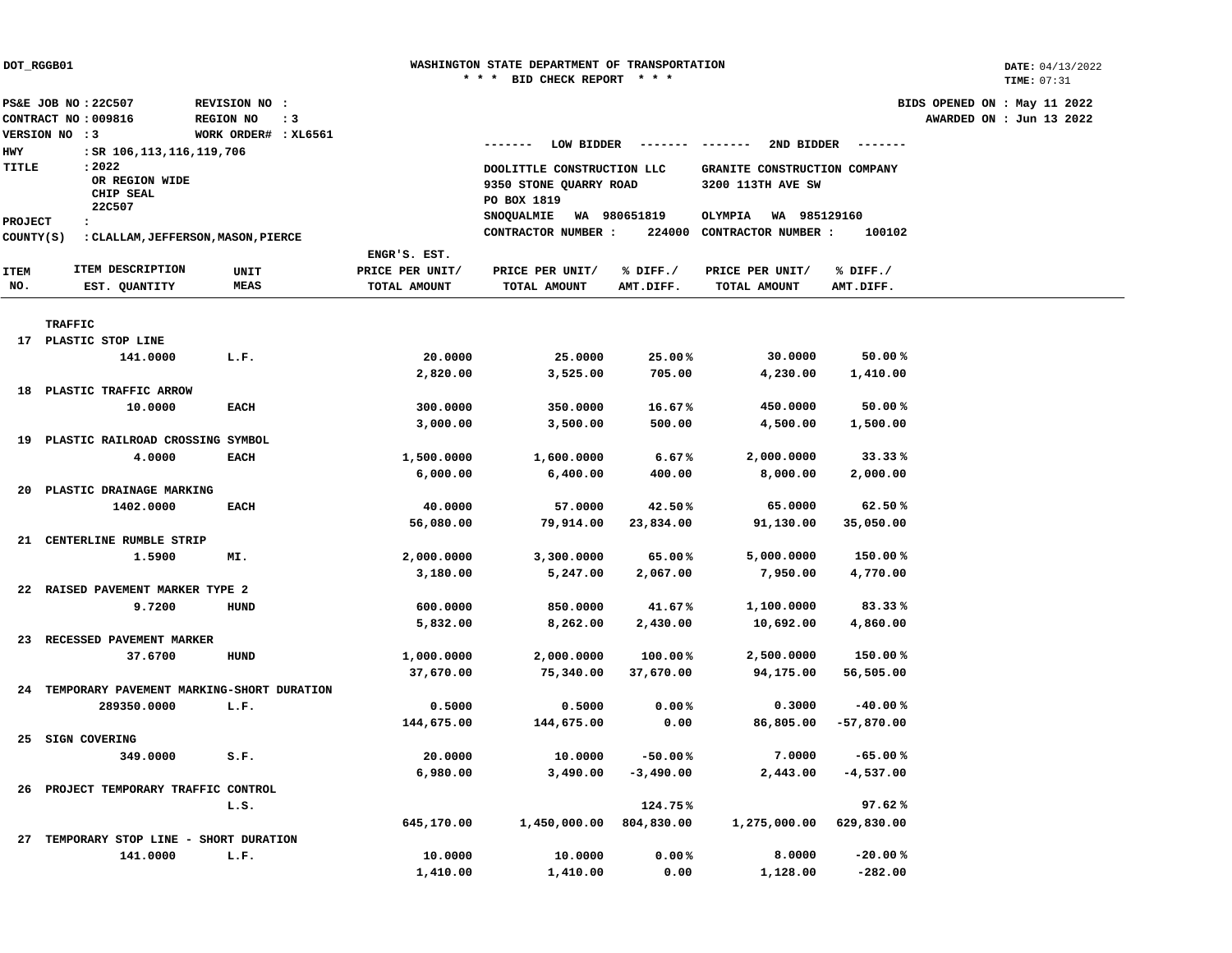|                                        |                                           |                      |           |                 | <b>BID CHECK REPORT</b>    | * * * *         |                                      |                 |                              | TIME: 07:31 |  |
|----------------------------------------|-------------------------------------------|----------------------|-----------|-----------------|----------------------------|-----------------|--------------------------------------|-----------------|------------------------------|-------------|--|
|                                        | PS&E JOB NO: 22C507                       | REVISION NO :        |           |                 |                            |                 |                                      |                 | BIDS OPENED ON : May 11 2022 |             |  |
|                                        | CONTRACT NO: 009816                       | REGION NO            | $\cdot$ 3 |                 |                            |                 |                                      |                 | AWARDED ON : Jun 13 2022     |             |  |
|                                        | VERSION NO : 3                            | WORK ORDER# : XL6561 |           |                 |                            |                 |                                      |                 |                              |             |  |
| <b>HWY</b>                             | : SR 106,113,116,119,706                  |                      |           |                 | LOW BIDDER<br>-------      | ------- ------- | 2ND BIDDER                           | --------        |                              |             |  |
| <b>TITLE</b>                           | : 2022                                    |                      |           |                 | DOOLITTLE CONSTRUCTION LLC |                 | GRANITE CONSTRUCTION COMPANY         |                 |                              |             |  |
|                                        | OR REGION WIDE                            |                      |           |                 | 9350 STONE QUARRY ROAD     |                 | 3200 113TH AVE SW                    |                 |                              |             |  |
|                                        | CHIP SEAL                                 |                      |           |                 | PO BOX 1819                |                 |                                      |                 |                              |             |  |
|                                        | 22C507                                    |                      |           |                 | SNOQUALMIE<br>WA 980651819 |                 | OLYMPIA<br>WA 985129160              |                 |                              |             |  |
| <b>PROJECT</b><br>$\ddot{\phantom{a}}$ |                                           |                      |           |                 | CONTRACTOR NUMBER :        |                 | 224000 CONTRACTOR NUMBER :<br>100102 |                 |                              |             |  |
| COUNTY (S)                             | : CLALLAM, JEFFERSON, MASON, PIERCE       |                      |           |                 |                            |                 |                                      |                 |                              |             |  |
|                                        |                                           |                      |           | ENGR'S. EST.    |                            |                 |                                      |                 |                              |             |  |
| <b>ITEM</b>                            | ITEM DESCRIPTION                          | UNIT                 |           | PRICE PER UNIT/ | PRICE PER UNIT/            | % DIFF./        | PRICE PER UNIT/                      | $\delta$ DIFF./ |                              |             |  |
| NO.                                    | EST. QUANTITY                             | <b>MEAS</b>          |           | TOTAL AMOUNT    | TOTAL AMOUNT               | AMT.DIFF.       | TOTAL AMOUNT                         | AMT.DIFF.       |                              |             |  |
|                                        |                                           |                      |           |                 |                            |                 |                                      |                 |                              |             |  |
|                                        | <b>TRAFFIC</b>                            |                      |           |                 |                            |                 |                                      |                 |                              |             |  |
|                                        | 17 PLASTIC STOP LINE                      |                      |           |                 |                            |                 |                                      |                 |                              |             |  |
|                                        | 141.0000                                  | L.F.                 |           | 20.0000         | 25.0000                    | 25.00%          | 30.0000                              | 50.00%          |                              |             |  |
|                                        |                                           |                      |           | 2,820.00        | 3,525.00                   | 705.00          | 4,230.00                             | 1,410.00        |                              |             |  |
| 18                                     | PLASTIC TRAFFIC ARROW                     |                      |           |                 |                            |                 |                                      |                 |                              |             |  |
|                                        | 10.0000                                   | <b>EACH</b>          |           | 300.0000        | 350.0000                   | 16.67%          | 450.0000                             | 50.00%          |                              |             |  |
|                                        |                                           |                      |           | 3,000.00        | 3,500.00                   | 500.00          | 4,500.00                             | 1,500.00        |                              |             |  |
| 19                                     | PLASTIC RAILROAD CROSSING SYMBOL          |                      |           |                 |                            |                 |                                      |                 |                              |             |  |
|                                        | 4.0000                                    | <b>EACH</b>          |           | 1,500.0000      | 1,600.0000                 | 6.67%           | 2,000.0000                           | 33.33%          |                              |             |  |
|                                        |                                           |                      |           | 6,000.00        | 6,400.00                   | 400.00          | 8,000.00                             | 2,000.00        |                              |             |  |
| 20                                     | PLASTIC DRAINAGE MARKING                  |                      |           |                 |                            |                 |                                      |                 |                              |             |  |
|                                        | 1402.0000                                 | <b>EACH</b>          |           | 40.0000         | 57.0000                    | 42.50%          | 65.0000                              | 62.50%          |                              |             |  |
|                                        |                                           |                      |           | 56,080.00       | 79,914.00                  | 23,834.00       | 91,130.00                            | 35,050.00       |                              |             |  |
| 21                                     | CENTERLINE RUMBLE STRIP                   |                      |           |                 |                            |                 |                                      |                 |                              |             |  |
|                                        | 1,5900                                    | MI.                  |           | 2,000.0000      | 3,300.0000                 | 65.00%          | 5,000.0000                           | 150.00%         |                              |             |  |
|                                        |                                           |                      |           | 3,180.00        | 5,247.00                   | 2,067.00        | 7,950.00                             | 4,770.00        |                              |             |  |
| 22                                     | RAISED PAVEMENT MARKER TYPE 2             |                      |           |                 |                            |                 |                                      |                 |                              |             |  |
|                                        | 9.7200                                    | HUND                 |           | 600.0000        | 850.0000                   | 41.67%          | 1,100.0000                           | 83.33%          |                              |             |  |
|                                        |                                           |                      |           | 5,832.00        | 8,262.00                   | 2,430.00        | 10,692.00                            | 4,860.00        |                              |             |  |
| 23                                     | RECESSED PAVEMENT MARKER                  |                      |           |                 |                            |                 |                                      |                 |                              |             |  |
|                                        | 37.6700                                   | <b>HUND</b>          |           | 1,000.0000      | 2,000.0000                 | 100.00%         | 2,500.0000                           | 150.00 %        |                              |             |  |
|                                        |                                           |                      |           | 37,670.00       | 75,340.00                  | 37,670.00       | 94,175.00                            | 56,505.00       |                              |             |  |
| 24                                     | TEMPORARY PAVEMENT MARKING-SHORT DURATION |                      |           |                 |                            |                 |                                      |                 |                              |             |  |
|                                        | 289350.0000                               | L.F.                 |           | 0.5000          | 0.5000                     | 0.00%           | 0.3000                               | $-40.00%$       |                              |             |  |
|                                        |                                           |                      |           | 144,675.00      | 144,675.00                 | 0.00            | 86,805.00                            | $-57,870.00$    |                              |             |  |
| 25                                     | SIGN COVERING                             |                      |           |                 |                            |                 |                                      |                 |                              |             |  |
|                                        | 349.0000                                  | S.F.                 |           | 20.0000         | 10.0000                    | $-50.00%$       | 7.0000                               | $-65.00%$       |                              |             |  |
|                                        |                                           |                      |           | 6,980.00        | 3,490.00                   | $-3,490.00$     | 2,443.00                             | $-4,537.00$     |                              |             |  |
| 26                                     | PROJECT TEMPORARY TRAFFIC CONTROL         |                      |           |                 |                            |                 |                                      |                 |                              |             |  |
|                                        |                                           | L.S.                 |           |                 |                            | 124.75%         |                                      | 97.62%          |                              |             |  |
|                                        |                                           |                      |           |                 |                            |                 |                                      |                 |                              |             |  |
|                                        |                                           |                      |           | 645,170.00      | 1,450,000.00               | 804,830.00      | 1,275,000.00                         | 629,830.00      |                              |             |  |
| 27                                     | TEMPORARY STOP LINE - SHORT DURATION      |                      |           |                 |                            |                 |                                      |                 |                              |             |  |
|                                        | 141,0000                                  | L.F.                 |           | 10.0000         | 10.0000                    | 0.00%           | 8,0000                               | $-20.00%$       |                              |             |  |
|                                        |                                           |                      |           | 1,410.00        | 1,410.00                   | 0.00            | 1,128.00                             | $-282.00$       |                              |             |  |

**WASHINGTON STATE DEPARTMENT OF TRANSPORTATION**

**DOT\_RGGB01**

**DATE:** 04/13/2022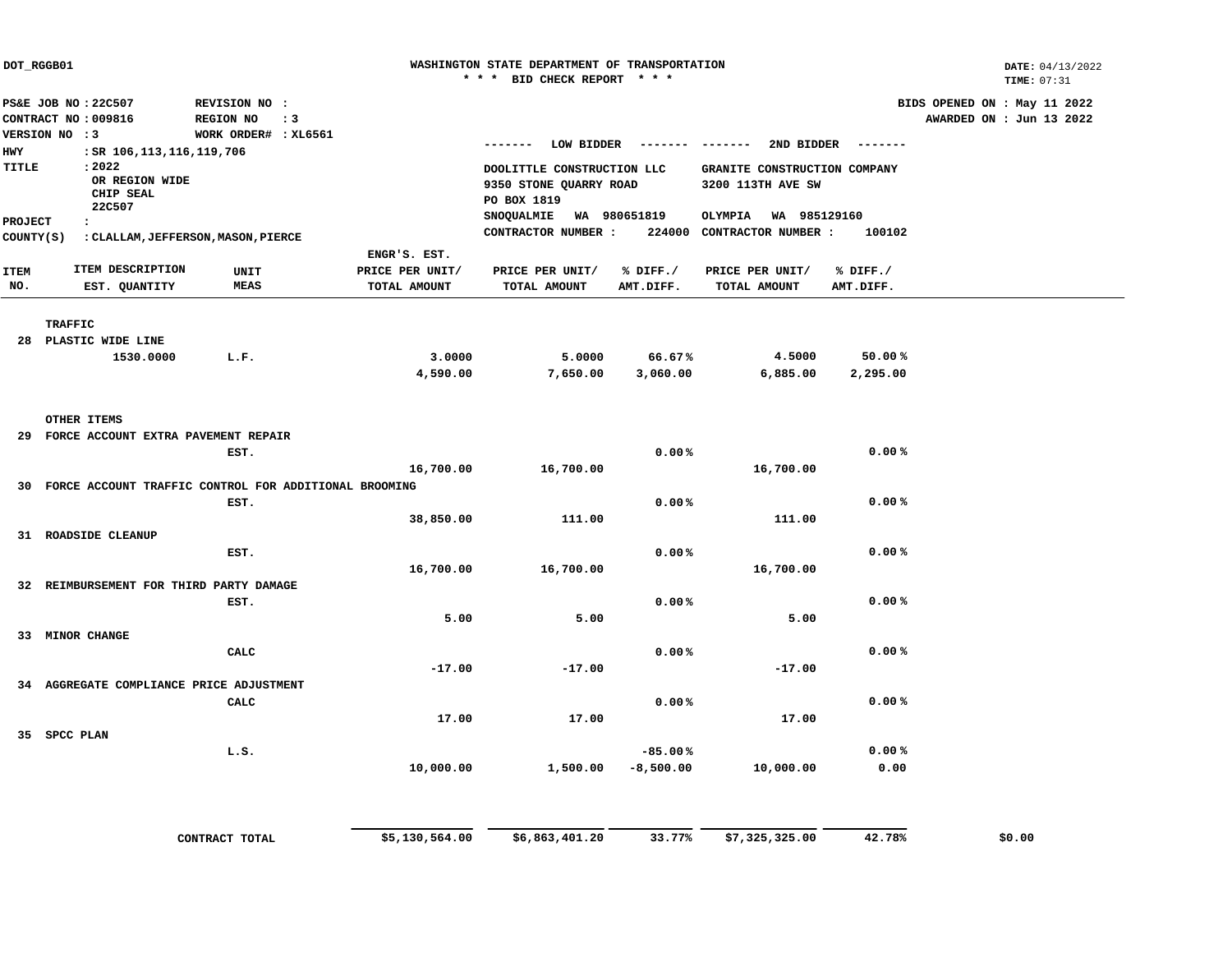| DOT_RGGB01                     |                                                             |                                                          |                                                           |                                                 |                                 | WASHINGTON STATE DEPARTMENT OF TRANSPORTATION<br>* * * BID CHECK REPORT * * * |                       |                                                   |                       |                                                          |  |  |
|--------------------------------|-------------------------------------------------------------|----------------------------------------------------------|-----------------------------------------------------------|-------------------------------------------------|---------------------------------|-------------------------------------------------------------------------------|-----------------------|---------------------------------------------------|-----------------------|----------------------------------------------------------|--|--|
|                                | PS&E JOB NO: 22C507<br>CONTRACT NO: 009816<br>VERSION NO :3 |                                                          | REVISION NO :<br><b>REGION NO</b><br>WORK ORDER# : XL6561 | $\cdot$ : 3                                     |                                 |                                                                               |                       |                                                   |                       | BIDS OPENED ON : May 11 2022<br>AWARDED ON : Jun 13 2022 |  |  |
| <b>HWY</b>                     |                                                             | : SR 106, 113, 116, 119, 706                             |                                                           |                                                 |                                 |                                                                               |                       | 2ND BIDDER                                        | --------              |                                                          |  |  |
| TITLE                          |                                                             | : 2022<br>OR REGION WIDE<br>CHIP SEAL<br>22C507          |                                                           |                                                 |                                 | DOOLITTLE CONSTRUCTION LLC<br>9350 STONE QUARRY ROAD<br>PO BOX 1819           |                       | GRANITE CONSTRUCTION COMPANY<br>3200 113TH AVE SW |                       |                                                          |  |  |
| <b>PROJECT</b><br>$\mathbf{r}$ |                                                             |                                                          |                                                           | SNOQUALMIE WA 980651819<br>OLYMPIA WA 985129160 |                                 |                                                                               |                       |                                                   |                       |                                                          |  |  |
| COUNTY (S)                     |                                                             | : CLALLAM, JEFFERSON, MASON, PIERCE                      |                                                           |                                                 |                                 | CONTRACTOR NUMBER :                                                           |                       | 224000 CONTRACTOR NUMBER :                        | 100102                |                                                          |  |  |
|                                |                                                             |                                                          |                                                           |                                                 | ENGR'S. EST.                    |                                                                               |                       |                                                   |                       |                                                          |  |  |
| <b>ITEM</b><br>NO.             |                                                             | ITEM DESCRIPTION<br>EST. QUANTITY                        | UNIT<br><b>MEAS</b>                                       |                                                 | PRICE PER UNIT/<br>TOTAL AMOUNT | PRICE PER UNIT/<br>TOTAL AMOUNT                                               | % DIFF./<br>AMT.DIFF. | PRICE PER UNIT/<br>TOTAL AMOUNT                   | % DIFF./<br>AMT.DIFF. |                                                          |  |  |
|                                |                                                             |                                                          |                                                           |                                                 |                                 |                                                                               |                       |                                                   |                       |                                                          |  |  |
|                                | <b>TRAFFIC</b>                                              |                                                          |                                                           |                                                 |                                 |                                                                               |                       |                                                   |                       |                                                          |  |  |
|                                |                                                             | 28 PLASTIC WIDE LINE                                     |                                                           |                                                 |                                 |                                                                               |                       |                                                   |                       |                                                          |  |  |
|                                |                                                             | 1530.0000                                                | L.F.                                                      |                                                 | 3.0000                          | 5.0000                                                                        | 66.67%                | 4.5000                                            | 50.00%                |                                                          |  |  |
|                                |                                                             |                                                          |                                                           |                                                 | 4,590.00                        | 7,650.00                                                                      | 3,060.00              | 6,885.00                                          | 2,295.00              |                                                          |  |  |
|                                | OTHER ITEMS                                                 |                                                          |                                                           |                                                 |                                 |                                                                               |                       |                                                   |                       |                                                          |  |  |
|                                |                                                             | 29 FORCE ACCOUNT EXTRA PAVEMENT REPAIR                   |                                                           |                                                 |                                 |                                                                               |                       |                                                   |                       |                                                          |  |  |
|                                |                                                             |                                                          | EST.                                                      |                                                 |                                 |                                                                               | 0.00%                 |                                                   | 0.00%                 |                                                          |  |  |
|                                |                                                             |                                                          |                                                           |                                                 | 16,700.00                       | 16,700.00                                                                     |                       | 16,700.00                                         |                       |                                                          |  |  |
|                                |                                                             | 30 FORCE ACCOUNT TRAFFIC CONTROL FOR ADDITIONAL BROOMING |                                                           |                                                 |                                 |                                                                               |                       |                                                   |                       |                                                          |  |  |
|                                |                                                             |                                                          | EST.                                                      |                                                 |                                 |                                                                               | 0.00%                 |                                                   | 0.00%                 |                                                          |  |  |
|                                |                                                             |                                                          |                                                           |                                                 | 38,850.00                       | 111.00                                                                        |                       | 111.00                                            |                       |                                                          |  |  |
|                                |                                                             | 31 ROADSIDE CLEANUP                                      |                                                           |                                                 |                                 |                                                                               |                       |                                                   |                       |                                                          |  |  |
|                                |                                                             |                                                          | EST.                                                      |                                                 |                                 |                                                                               | 0.00%                 |                                                   | 0.00%                 |                                                          |  |  |
|                                |                                                             |                                                          |                                                           |                                                 | 16,700.00                       | 16,700.00                                                                     |                       | 16,700.00                                         |                       |                                                          |  |  |
|                                |                                                             | 32 REIMBURSEMENT FOR THIRD PARTY DAMAGE                  |                                                           |                                                 |                                 |                                                                               |                       |                                                   |                       |                                                          |  |  |
|                                |                                                             |                                                          | EST.                                                      |                                                 |                                 |                                                                               | 0.00%                 |                                                   | 0.00%                 |                                                          |  |  |
|                                |                                                             |                                                          |                                                           |                                                 | 5.00                            | 5.00                                                                          |                       | 5.00                                              |                       |                                                          |  |  |
|                                | 33 MINOR CHANGE                                             |                                                          |                                                           |                                                 |                                 |                                                                               |                       |                                                   |                       |                                                          |  |  |
|                                |                                                             |                                                          | CALC                                                      |                                                 |                                 |                                                                               | 0.00%                 |                                                   | 0.00%                 |                                                          |  |  |
|                                |                                                             |                                                          |                                                           |                                                 | $-17.00$                        | $-17.00$                                                                      |                       | $-17.00$                                          |                       |                                                          |  |  |
|                                |                                                             | 34 AGGREGATE COMPLIANCE PRICE ADJUSTMENT                 |                                                           |                                                 |                                 |                                                                               |                       |                                                   |                       |                                                          |  |  |
|                                |                                                             |                                                          | CALC                                                      |                                                 |                                 |                                                                               | 0.00%                 |                                                   | 0.00%                 |                                                          |  |  |
|                                |                                                             |                                                          |                                                           |                                                 | 17.00                           | 17.00                                                                         |                       | 17.00                                             |                       |                                                          |  |  |
|                                | 35 SPCC PLAN                                                |                                                          |                                                           |                                                 |                                 |                                                                               |                       |                                                   |                       |                                                          |  |  |
|                                |                                                             |                                                          | L.S.                                                      |                                                 |                                 |                                                                               | $-85.00%$             |                                                   | 0.00%                 |                                                          |  |  |
|                                |                                                             |                                                          |                                                           |                                                 | 10,000.00                       | 1,500.00                                                                      | $-8,500.00$           | 10,000.00                                         | 0.00                  |                                                          |  |  |
|                                |                                                             |                                                          |                                                           |                                                 |                                 |                                                                               |                       |                                                   |                       |                                                          |  |  |
|                                |                                                             |                                                          |                                                           |                                                 |                                 |                                                                               |                       |                                                   |                       |                                                          |  |  |
|                                |                                                             |                                                          |                                                           |                                                 |                                 |                                                                               |                       |                                                   |                       |                                                          |  |  |

**CONTRACT TOTAL \$5,130,564.00 \$6,863,401.20 33.77% \$7,325,325.00 42.78% \$0.00**